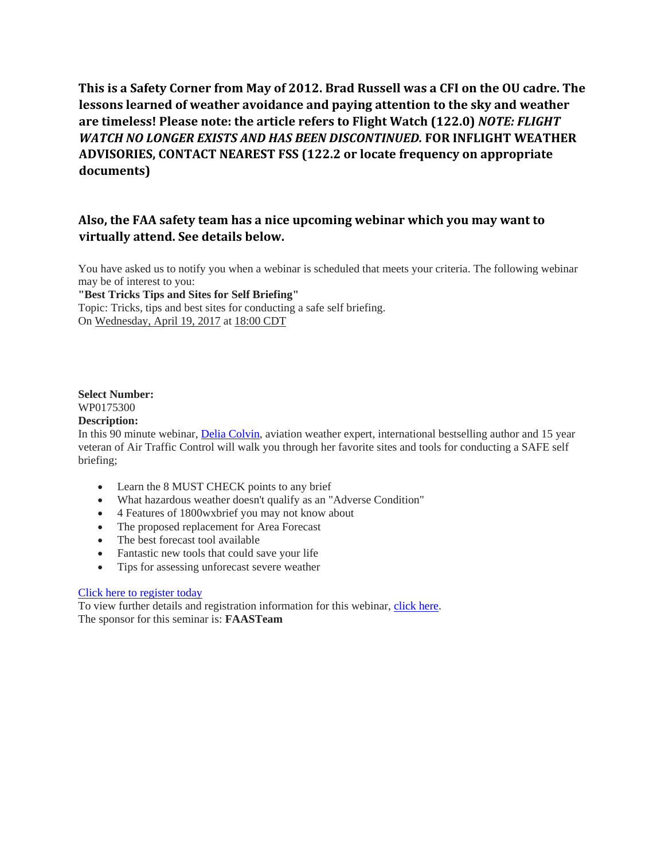**This is a Safety Corner from May of 2012. Brad Russell was a CFI on the OU cadre. The lessons learned of weather avoidance and paying attention to the sky and weather are timeless! Please note: the article refers to Flight Watch (122.0)** *NOTE: FLIGHT WATCH NO LONGER EXISTS AND HAS BEEN DISCONTINUED.* **FOR INFLIGHT WEATHER ADVISORIES, CONTACT NEAREST FSS (122.2 or locate frequency on appropriate documents)**

## **Also, the FAA safety team has a nice upcoming webinar which you may want to virtually attend. See details below.**

You have asked us to notify you when a webinar is scheduled that meets your criteria. The following webinar may be of interest to you:

**"Best Tricks Tips and Sites for Self Briefing"**

Topic: Tricks, tips and best sites for conducting a safe self briefing. On Wednesday, April 19, 2017 at 18:00 CDT

#### **Select Number:** WP0175300

#### **Description:**

In this 90 minute webinar, [Delia Colvin,](https://urldefense.proofpoint.com/v2/url?u=http-3A__www.fly-2Drite.com_about-2Dus&d=DwMFAg&c=qKdtBuuu6dQK9MsRUVJ2DPXW6oayO8fu4TfEHS8sGNk&r=F4EF4tuu5lrXuTyMQQM1sQ&m=3O69MQVez4bhLtF_DKFXYdsCFCrRB0J5m843JlphENs&s=jvs875LIkk6pDpMdAakWgozJbsf7xG-5UF9pfanTgD8&e=) aviation weather expert, international bestselling author and 15 year veteran of Air Traffic Control will walk you through her favorite sites and tools for conducting a SAFE self briefing;

- Learn the 8 MUST CHECK points to any brief
- What hazardous weather doesn't qualify as an "Adverse Condition"
- 4 Features of 1800wxbrief you may not know about
- The proposed replacement for Area Forecast
- The best forecast tool available
- Fantastic new tools that could save your life
- Tips for assessing unforecast severe weather

#### [Click here to register today](https://urldefense.proofpoint.com/v2/url?u=http-3A__www.fly-2Drite.com_free-2Dwebinars&d=DwMFAg&c=qKdtBuuu6dQK9MsRUVJ2DPXW6oayO8fu4TfEHS8sGNk&r=F4EF4tuu5lrXuTyMQQM1sQ&m=3O69MQVez4bhLtF_DKFXYdsCFCrRB0J5m843JlphENs&s=xcVQu5OdWP9sWyqIiLAPffYuASR0RQ24Yqh0mk04nNs&e=)

To view further details and registration information for this webinar, [click here.](https://urldefense.proofpoint.com/v2/url?u=http-3A__www.faasafety.gov_SPANS_event-5Fdetails.aspx-3Feid-3D75300&d=DwMFAg&c=qKdtBuuu6dQK9MsRUVJ2DPXW6oayO8fu4TfEHS8sGNk&r=F4EF4tuu5lrXuTyMQQM1sQ&m=3O69MQVez4bhLtF_DKFXYdsCFCrRB0J5m843JlphENs&s=7vlCa2SQ3nFAC6EuWuFid7dFTll81TPPt1-BtTS80Bo&e=) The sponsor for this seminar is: **FAASTeam**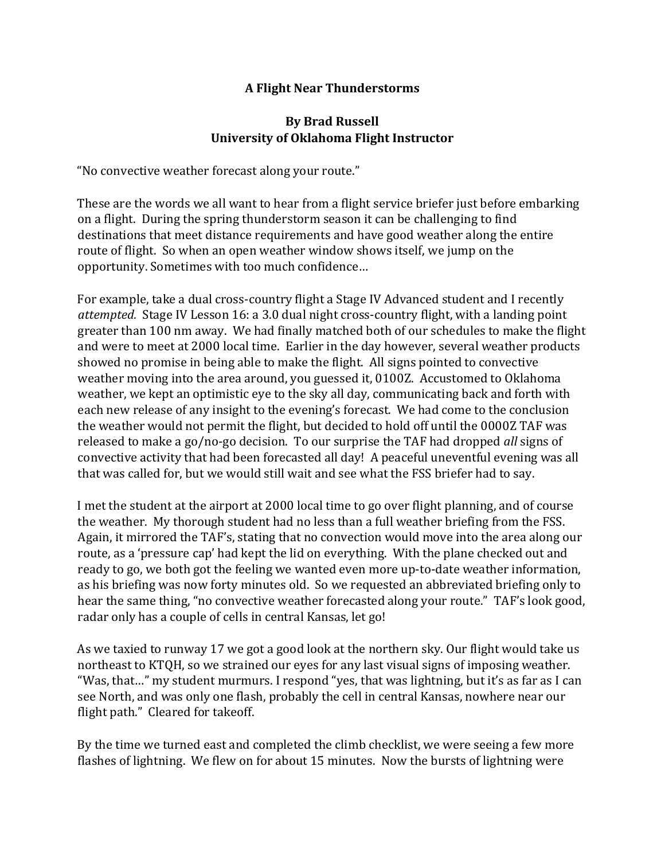# **A Flight Near Thunderstorms**

# **By Brad Russell University of Oklahoma Flight Instructor**

"No convective weather forecast along your route."

These are the words we all want to hear from a flight service briefer just before embarking on a flight. During the spring thunderstorm season it can be challenging to find destinations that meet distance requirements and have good weather along the entire route of flight. So when an open weather window shows itself, we jump on the opportunity. Sometimes with too much confidence…

For example, take a dual cross-country flight a Stage IV Advanced student and I recently *attempted.* Stage IV Lesson 16: a 3.0 dual night cross-country flight, with a landing point greater than 100 nm away. We had finally matched both of our schedules to make the flight and were to meet at 2000 local time. Earlier in the day however, several weather products showed no promise in being able to make the flight. All signs pointed to convective weather moving into the area around, you guessed it, 0100Z. Accustomed to Oklahoma weather, we kept an optimistic eye to the sky all day, communicating back and forth with each new release of any insight to the evening's forecast. We had come to the conclusion the weather would not permit the flight, but decided to hold off until the 0000Z TAF was released to make a go/no-go decision. To our surprise the TAF had dropped *all* signs of convective activity that had been forecasted all day! A peaceful uneventful evening was all that was called for, but we would still wait and see what the FSS briefer had to say.

I met the student at the airport at 2000 local time to go over flight planning, and of course the weather. My thorough student had no less than a full weather briefing from the FSS. Again, it mirrored the TAF's, stating that no convection would move into the area along our route, as a 'pressure cap' had kept the lid on everything. With the plane checked out and ready to go, we both got the feeling we wanted even more up-to-date weather information, as his briefing was now forty minutes old. So we requested an abbreviated briefing only to hear the same thing, "no convective weather forecasted along your route." TAF's look good, radar only has a couple of cells in central Kansas, let go!

As we taxied to runway 17 we got a good look at the northern sky. Our flight would take us northeast to KTQH, so we strained our eyes for any last visual signs of imposing weather. "Was, that…" my student murmurs. I respond "yes, that was lightning, but it's as far as I can see North, and was only one flash, probably the cell in central Kansas, nowhere near our flight path." Cleared for takeoff.

By the time we turned east and completed the climb checklist, we were seeing a few more flashes of lightning. We flew on for about 15 minutes. Now the bursts of lightning were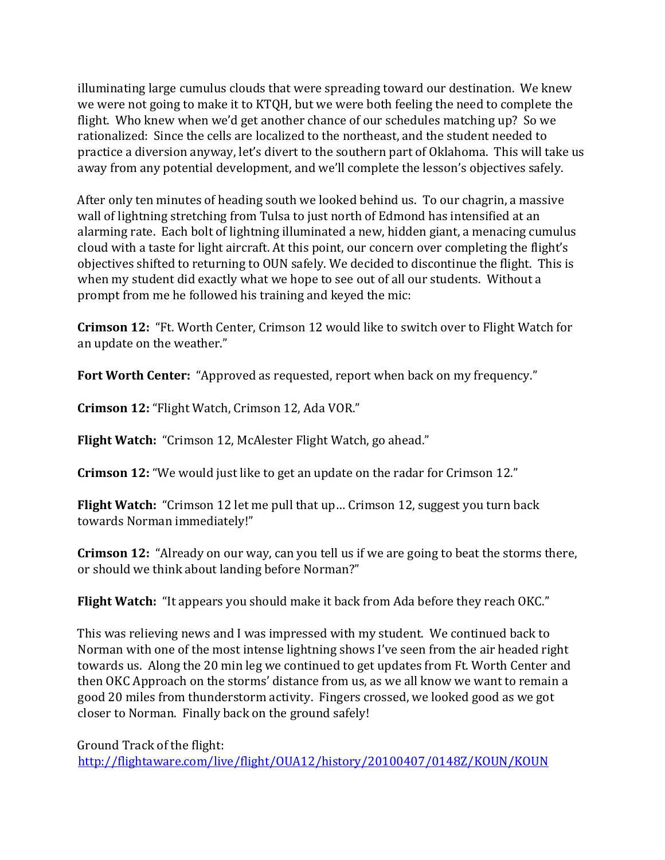illuminating large cumulus clouds that were spreading toward our destination. We knew we were not going to make it to KTQH, but we were both feeling the need to complete the flight. Who knew when we'd get another chance of our schedules matching up? So we rationalized: Since the cells are localized to the northeast, and the student needed to practice a diversion anyway, let's divert to the southern part of Oklahoma. This will take us away from any potential development, and we'll complete the lesson's objectives safely.

After only ten minutes of heading south we looked behind us. To our chagrin, a massive wall of lightning stretching from Tulsa to just north of Edmond has intensified at an alarming rate. Each bolt of lightning illuminated a new, hidden giant, a menacing cumulus cloud with a taste for light aircraft. At this point, our concern over completing the flight's objectives shifted to returning to OUN safely. We decided to discontinue the flight. This is when my student did exactly what we hope to see out of all our students. Without a prompt from me he followed his training and keyed the mic:

**Crimson 12:** "Ft. Worth Center, Crimson 12 would like to switch over to Flight Watch for an update on the weather."

**Fort Worth Center:** "Approved as requested, report when back on my frequency."

**Crimson 12:** "Flight Watch, Crimson 12, Ada VOR."

**Flight Watch:** "Crimson 12, McAlester Flight Watch, go ahead."

**Crimson 12:** "We would just like to get an update on the radar for Crimson 12."

**Flight Watch:** "Crimson 12 let me pull that up… Crimson 12, suggest you turn back towards Norman immediately!"

**Crimson 12:** "Already on our way, can you tell us if we are going to beat the storms there, or should we think about landing before Norman?"

**Flight Watch:** "It appears you should make it back from Ada before they reach OKC."

This was relieving news and I was impressed with my student. We continued back to Norman with one of the most intense lightning shows I've seen from the air headed right towards us. Along the 20 min leg we continued to get updates from Ft. Worth Center and then OKC Approach on the storms' distance from us, as we all know we want to remain a good 20 miles from thunderstorm activity. Fingers crossed, we looked good as we got closer to Norman. Finally back on the ground safely!

Ground Track of the flight: <http://flightaware.com/live/flight/OUA12/history/20100407/0148Z/KOUN/KOUN>